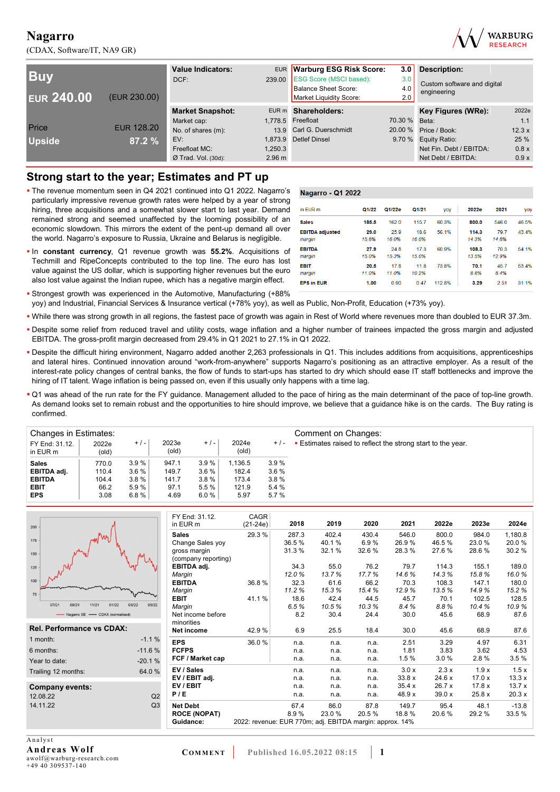(CDAX, Software/IT, NA9 GR)



| <b>Buv</b><br><b>EUR 240.00</b> | (EUR 230.00)      | <b>Value Indicators:</b><br>DCF:              | 239.00                                 | EUR Warburg ESG Risk Score:<br><b>ESG Score (MSCI based):</b><br>Balance Sheet Score:<br>Market Liquidity Score: | 3.0<br>3.0<br>4.0<br>2.0 | <b>Description:</b><br>Custom software and digital<br>engineering |                      |
|---------------------------------|-------------------|-----------------------------------------------|----------------------------------------|------------------------------------------------------------------------------------------------------------------|--------------------------|-------------------------------------------------------------------|----------------------|
|                                 |                   | <b>Market Snapshot:</b>                       |                                        | EUR m Shareholders:                                                                                              |                          | Key Figures (WRe):                                                | 2022e                |
| Price                           | <b>EUR 128.20</b> | Market cap:<br>No. of shares (m):             |                                        | 1,778.5 Freefloat<br>13.9 Carl G. Duerschmidt                                                                    | 70.30 % Beta:<br>20.00 % | Price / Book:                                                     | 1.1<br>12.3x         |
| <b>Upside</b>                   | 87.2 %            | EV:<br>Freefloat MC:<br>$Ø$ Trad. Vol. (30d): | 1.873.9<br>1.250.3<br>$2.96 \text{ m}$ | <b>Detlef Dinsel</b>                                                                                             | 9.70%                    | Equity Ratio:<br>Net Fin. Debt / EBITDA:<br>Net Debt / EBITDA:    | 25 %<br>0.8x<br>0.9x |

### **Strong start to the year; Estimates and PT up**

- The revenue momentum seen in Q4 2021 continued into Q1 2022. Nagarro's particularly impressive revenue growth rates were helped by a year of strong hiring, three acquisitions and a somewhat slower start to last year. Demand remained strong and seemed unaffected by the looming possibility of an economic slowdown. This mirrors the extent of the pent-up demand all over the world. Nagarro's exposure to Russia, Ukraine and Belarus is negligible.
- In **constant currency**, Q1 revenue growth was **55.2%**. Acquisitions of Techmill and RipeConcepts contributed to the top line. The euro has lost value against the US dollar, which is supporting higher revenues but the euro also lost value against the Indian rupee, which has a negative margin effect.

Strongest growth was experienced in the Automotive, Manufacturing (+88%

| Nagarro - Q1 2022                |               |               |               |        |                |               |       |
|----------------------------------|---------------|---------------|---------------|--------|----------------|---------------|-------|
| in FUR m                         | Q1/22         | Q1/22e        | Q1/21         | yoy    | <b>2022e</b>   | 2021          | yoy   |
| <b>Sales</b>                     | 185.5         | 1620          | 1157          | 60.3%  | 800.0          | 546.0         | 46.5% |
| <b>EBITDA</b> adjusted<br>margin | 29.0<br>15.6% | 25.9<br>16.0% | 18.6<br>16.0% | 56 1%  | 114.3<br>14 3% | 797<br>14 6%  | 43.4% |
| <b>EBITDA</b><br>margin          | 27.9<br>15.0% | 248<br>153%   | 173<br>15.0%  | 60.9%  | 108.3<br>13.5% | 70.3<br>12.9% | 54 1% |
| EBIT<br>margin                   | 20.5<br>11 0% | 178<br>11 0%  | 118<br>10 2%  | 73.8%  | 70.1<br>8.8%   | 457<br>8.4%   | 53.4% |
| <b>EPS in EUR</b>                | 1.00          | 0.90          | 0.47          | 112.8% | 3.29           | 2.51          | 31 1% |

- yoy) and Industrial, Financial Services & Insurance vertical (+78% yoy), as well as Public, Non-Profit, Education (+73% yoy).
- While there was strong growth in all regions, the fastest pace of growth was again in Rest of World where revenues more than doubled to EUR 37.3m.
- Despite some relief from reduced travel and utility costs, wage inflation and a higher number of trainees impacted the gross margin and adjusted EBITDA. The gross-profit margin decreased from 29.4% in Q1 2021 to 27.1% in Q1 2022.
- Despite the difficult hiring environment, Nagarro added another 2,263 professionals in Q1. This includes additions from acquisitions, apprenticeships and lateral hires. Continued innovation around "work-from-anywhere" supports Nagarro's positioning as an attractive employer. As a result of the interest-rate policy changes of central banks, the flow of funds to start-ups has started to dry which should ease IT staff bottlenecks and improve the hiring of IT talent. Wage inflation is being passed on, even if this usually only happens with a time lag.
- Q1 was ahead of the run rate for the FY guidance. Management alluded to the pace of hiring as the main determinant of the pace of top-line growth. As demand looks set to remain robust and the opportunities to hire should improve, we believe that a guidance hike is on the cards. The Buy rating is confirmed.

| Changes in Estimates:      |                |       |                |       |                |         | Comment on Changes:                                              |
|----------------------------|----------------|-------|----------------|-------|----------------|---------|------------------------------------------------------------------|
| FY End: 31.12.<br>in EUR m | 2022e<br>(old) | $+/-$ | 2023e<br>(old) | $+/-$ | 2024e<br>(old) | $+/-$   | <b>Estimates raised to reflect the strong start to the year.</b> |
| <b>Sales</b>               | 770.0          | 3.9%  | 947.1          | 3.9%  | 1.136.5        | 3.9%    |                                                                  |
| EBITDA adj.                | 110.4          | 3.6%  | 149.7          | 3.6%  | 182.4          | $3.6\%$ |                                                                  |
| <b>EBITDA</b>              | 104.4          | 3.8%  | 141.7          | 3.8%  | 173.4          | 3.8%    |                                                                  |
| <b>EBIT</b>                | 66.2           | 5.9 % | 97.1           | 5.5%  | 121.9          | 5.4%    |                                                                  |
| <b>EPS</b>                 | 3.08           | 6.8%  | 4.69           | 6.0%  | 5.97           | 5.7%    |                                                                  |

|                                  |                | FY End: 31.12.      | CAGR                                                     |       |       |       |        |       |        |         |
|----------------------------------|----------------|---------------------|----------------------------------------------------------|-------|-------|-------|--------|-------|--------|---------|
| 200                              |                | in EUR m            | $(21-24e)$                                               | 2018  | 2019  | 2020  | 2021   | 2022e | 2023e  | 2024e   |
| l Vari                           |                | <b>Sales</b>        | 29.3%                                                    | 287.3 | 402.4 | 430.4 | 546.0  | 800.0 | 984.0  | 1,180.8 |
| 175                              |                | Change Sales yoy    |                                                          | 36.5% | 40.1% | 6.9%  | 26.9%  | 46.5% | 23.0 % | 20.0 %  |
| 150                              |                | gross margin        |                                                          | 31.3% | 32.1% | 32.6% | 28.3%  | 27.6% | 28.6%  | 30.2%   |
|                                  |                | (company reporting) |                                                          |       |       |       |        |       |        |         |
| 125                              |                | EBITDA adj.         |                                                          | 34.3  | 55.0  | 76.2  | 79.7   | 114.3 | 155.1  | 189.0   |
|                                  |                | Margin              |                                                          | 12.0% | 13.7% | 17.7% | 14.6%  | 14.3% | 15.8%  | 16.0%   |
| 100                              |                | <b>EBITDA</b>       | 36.8%                                                    | 32.3  | 61.6  | 66.2  | 70.3   | 108.3 | 147.1  | 180.0   |
| 75                               |                | Margin              |                                                          | 11.2% | 15.3% | 15.4% | 12.9%  | 13.5% | 14.9%  | 15.2%   |
|                                  |                | <b>EBIT</b>         | 41.1%                                                    | 18.6  | 42.4  | 44.5  | 45.7   | 70.1  | 102.5  | 128.5   |
| 07/21<br>09/21<br>11/21<br>01/22 | 03/22<br>05/22 | Margin              |                                                          | 6.5%  | 10.5% | 10.3% | 8.4%   | 8.8%  | 10.4%  | 10.9%   |
| - Nagarro SE - CDAX (normalised) |                | Net income before   |                                                          | 8.2   | 30.4  | 24.4  | 30.0   | 45.6  | 68.9   | 87.6    |
|                                  |                | minorities          |                                                          |       |       |       |        |       |        |         |
| <b>Rel. Performance vs CDAX:</b> |                | Net income          | 42.9 %                                                   | 6.9   | 25.5  | 18.4  | 30.0   | 45.6  | 68.9   | 87.6    |
| 1 month:                         | $-1.1%$        | <b>EPS</b>          | 36.0%                                                    | n.a.  | n.a.  | n.a.  | 2.51   | 3.29  | 4.97   | 6.31    |
| 6 months:                        | $-11.6%$       | <b>FCFPS</b>        |                                                          | n.a.  | n.a.  | n.a.  | 1.81   | 3.83  | 3.62   | 4.53    |
| Year to date:                    | $-20.1%$       | FCF / Market cap    |                                                          | n.a.  | n.a.  | n.a.  | 1.5%   | 3.0%  | 2.8%   | 3.5%    |
| Trailing 12 months:              | 64.0%          | EV / Sales          |                                                          | n.a.  | n.a.  | n.a.  | 3.0 x  | 2.3x  | 1.9x   | 1.5x    |
|                                  |                | EV / EBIT adj.      |                                                          | n.a.  | n.a.  | n.a.  | 33.8x  | 24.6x | 17.0x  | 13.3x   |
| <b>Company events:</b>           |                | EV/EBIT             |                                                          | n.a.  | n.a.  | n.a.  | 35.4x  | 26.7x | 17.8 x | 13.7x   |
| 12.08.22                         | Q2             | P/E                 |                                                          | n.a.  | n.a.  | n.a.  | 48.9 x | 39.0x | 25.8 x | 20.3x   |
| 14.11.22                         | Q <sub>3</sub> | <b>Net Debt</b>     |                                                          | 67.4  | 86.0  | 87.8  | 149.7  | 95.4  | 48.1   | $-13.8$ |
|                                  |                | <b>ROCE (NOPAT)</b> |                                                          | 8.9%  | 23.0% | 20.5% | 18.8%  | 20.6% | 29.2%  | 33.5%   |
|                                  |                | Guidance:           | 2022: revenue: EUR 770m; adj. EBITDA margin: approx. 14% |       |       |       |        |       |        |         |
|                                  |                |                     |                                                          |       |       |       |        |       |        |         |

A nalvst **Andreas Wolf**  awolf@warburg-research.com +49 40 309537-140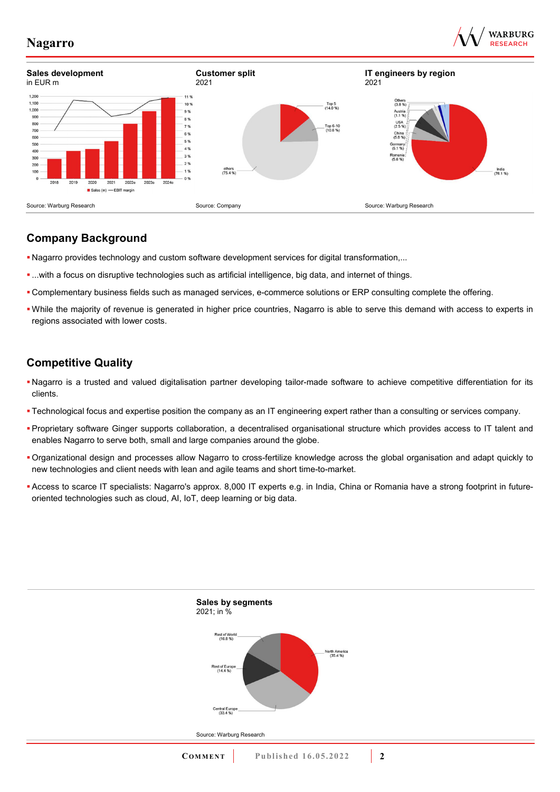





### **Company Background**

- Nagarro provides technology and custom software development services for digital transformation,...
- ...with a focus on disruptive technologies such as artificial intelligence, big data, and internet of things.
- Complementary business fields such as managed services, e-commerce solutions or ERP consulting complete the offering.
- While the majority of revenue is generated in higher price countries, Nagarro is able to serve this demand with access to experts in regions associated with lower costs.

## **Competitive Quality**

- Nagarro is a trusted and valued digitalisation partner developing tailor-made software to achieve competitive differentiation for its clients.
- Technological focus and expertise position the company as an IT engineering expert rather than a consulting or services company.
- Proprietary software Ginger supports collaboration, a decentralised organisational structure which provides access to IT talent and enables Nagarro to serve both, small and large companies around the globe.
- Organizational design and processes allow Nagarro to cross-fertilize knowledge across the global organisation and adapt quickly to new technologies and client needs with lean and agile teams and short time-to-market.
- Access to scarce IT specialists: Nagarro's approx. 8,000 IT experts e.g. in India, China or Romania have a strong footprint in futureoriented technologies such as cloud, AI, IoT, deep learning or big data.

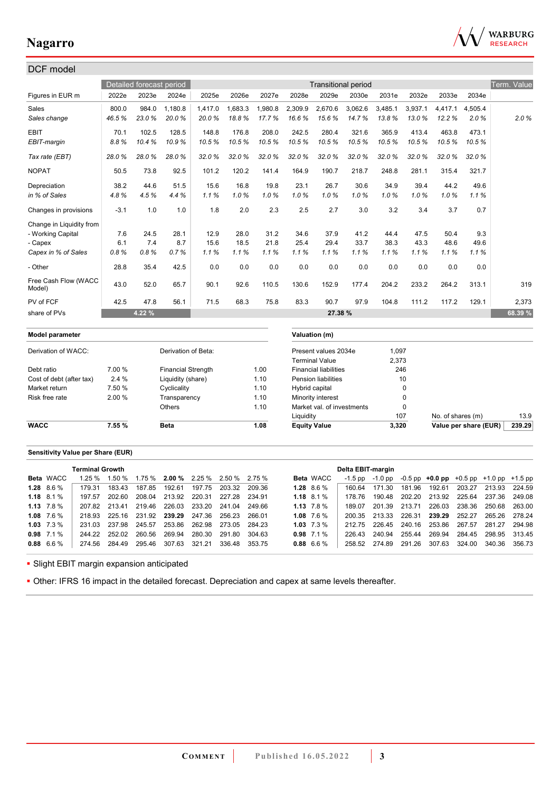

| DCF model                      |        |                          |                           |         |         |         |           |                              |                            |         |             |                   |                       |             |
|--------------------------------|--------|--------------------------|---------------------------|---------|---------|---------|-----------|------------------------------|----------------------------|---------|-------------|-------------------|-----------------------|-------------|
|                                |        | Detailed forecast period |                           |         |         |         |           |                              | <b>Transitional period</b> |         |             |                   |                       | Term. Value |
| Figures in EUR m               | 2022e  | 2023e                    | 2024e                     | 2025e   | 2026e   | 2027e   | 2028e     | 2029e                        | 2030e                      | 2031e   | 2032e       | 2033e             | 2034e                 |             |
| Sales                          | 800.0  | 984.0                    | 1,180.8                   | 1,417.0 | 1,683.3 | 1,980.8 | 2,309.9   | 2,670.6                      | 3,062.6                    | 3,485.1 | 3,937.1     | 4.417.1           | 4,505.4               |             |
| Sales change                   | 46.5%  | 23.0%                    | 20.0%                     | 20.0%   | 18.8%   | 17.7%   | 16.6%     | 15.6%                        | 14.7%                      | 13.8%   | 13.0%       | 12.2%             | 2.0%                  | 2.0%        |
| <b>EBIT</b>                    | 70.1   | 102.5                    | 128.5                     | 148.8   | 176.8   | 208.0   | 242.5     | 280.4                        | 321.6                      | 365.9   | 413.4       | 463.8             | 473.1                 |             |
| EBIT-margin                    | 8.8%   | 10.4%                    | 10.9%                     | 10.5%   | 10.5%   | 10.5%   | 10.5%     | 10.5%                        | 10.5%                      | 10.5%   | 10.5%       | 10.5%             | 10.5%                 |             |
| Tax rate (EBT)                 | 28.0%  | 28.0%                    | 28.0%                     | 32.0%   | 32.0%   | 32.0%   | 32.0%     | 32.0%                        | 32.0%                      | 32.0%   | 32.0%       | 32.0%             | 32.0%                 |             |
| <b>NOPAT</b>                   | 50.5   | 73.8                     | 92.5                      | 101.2   | 120.2   | 141.4   | 164.9     | 190.7                        | 218.7                      | 248.8   | 281.1       | 315.4             | 321.7                 |             |
| Depreciation                   | 38.2   | 44.6                     | 51.5                      | 15.6    | 16.8    | 19.8    | 23.1      | 26.7                         | 30.6                       | 34.9    | 39.4        | 44.2              | 49.6                  |             |
| in % of Sales                  | 4.8%   | 4.5%                     | 4.4%                      | 1.1%    | 1.0%    | 1.0%    | 1.0%      | 1.0%                         | 1.0%                       | 1.0%    | 1.0%        | 1.0%              | 1.1%                  |             |
| Changes in provisions          | $-3.1$ | 1.0                      | 1.0                       | 1.8     | 2.0     | 2.3     | 2.5       | 2.7                          | 3.0                        | 3.2     | 3.4         | 3.7               | 0.7                   |             |
| Change in Liquidity from       |        |                          |                           |         |         |         |           |                              |                            |         |             |                   |                       |             |
| - Working Capital              | 7.6    | 24.5                     | 28.1                      | 12.9    | 28.0    | 31.2    | 34.6      | 37.9                         | 41.2                       | 44.4    | 47.5        | 50.4              | 9.3                   |             |
| - Capex                        | 6.1    | 7.4                      | 8.7                       | 15.6    | 18.5    | 21.8    | 25.4      | 29.4                         | 33.7                       | 38.3    | 43.3        | 48.6              | 49.6                  |             |
| Capex in % of Sales            | 0.8%   | 0.8%                     | 0.7%                      | 1.1%    | 1.1%    | 1.1%    | 1.1%      | 1.1%                         | 1.1%                       | 1.1%    | 1.1%        | 1.1%              | 1.1%                  |             |
| - Other                        | 28.8   | 35.4                     | 42.5                      | 0.0     | 0.0     | 0.0     | 0.0       | 0.0                          | 0.0                        | 0.0     | 0.0         | 0.0               | 0.0                   |             |
| Free Cash Flow (WACC<br>Model) | 43.0   | 52.0                     | 65.7                      | 90.1    | 92.6    | 110.5   | 130.6     | 152.9                        | 177.4                      | 204.2   | 233.2       | 264.2             | 313.1                 | 319         |
| PV of FCF                      | 42.5   | 47.8                     | 56.1                      | 71.5    | 68.3    | 75.8    | 83.3      | 90.7                         | 97.9                       | 104.8   | 111.2       | 117.2             | 129.1                 | 2,373       |
| share of PVs                   |        | 4.22 %                   |                           |         |         |         |           | 27.38 %                      |                            |         |             |                   |                       | 68.39 %     |
| Model parameter                |        |                          |                           |         |         |         |           | Valuation (m)                |                            |         |             |                   |                       |             |
| Derivation of WACC:            |        |                          | Derivation of Beta:       |         |         |         |           | Present values 2034e         |                            | 1.097   |             |                   |                       |             |
|                                |        |                          |                           |         |         |         |           | <b>Terminal Value</b>        |                            | 2,373   |             |                   |                       |             |
| Debt ratio                     | 7.00 % |                          | <b>Financial Strength</b> |         |         | 1.00    |           | <b>Financial liabilities</b> |                            |         | 246         |                   |                       |             |
| Cost of debt (after tax)       | 2.4%   |                          | Liquidity (share)         |         |         | 1.10    |           | <b>Pension liabilities</b>   |                            |         | 10          |                   |                       |             |
| Market return                  | 7.50 % |                          | Cyclicality               |         |         | 1.10    |           | Hybrid capital               |                            |         | $\mathbf 0$ |                   |                       |             |
| Risk free rate                 | 2.00 % |                          | Transparency              |         |         | 1.10    |           | Minority interest            |                            |         | $\mathbf 0$ |                   |                       |             |
|                                |        |                          | Others                    |         |         | 1.10    |           | Market val. of investments   |                            |         | $\pmb{0}$   |                   |                       |             |
|                                |        |                          |                           |         |         |         | Liquidity |                              |                            |         | 107         | No. of shares (m) |                       | 13.9        |
| <b>WACC</b>                    | 7.55 % |                          | <b>Beta</b>               |         |         | 1.08    |           | <b>Equity Value</b>          |                            | 3,320   |             |                   | Value per share (EUR) | 239.29      |

### **Sensitivity Value per Share (EUR)**

|                    | <b>Terminal Growth</b> |               |                                                            |        |                                    |                      |               |                  | Delta EBIT-margin |         |        |                                                   |                             |        |
|--------------------|------------------------|---------------|------------------------------------------------------------|--------|------------------------------------|----------------------|---------------|------------------|-------------------|---------|--------|---------------------------------------------------|-----------------------------|--------|
| Beta WACC          | 1.25%                  |               | $1.50\%$ $1.75\%$ <b>2.00</b> % $2.25\%$ $2.50\%$ $2.75\%$ |        |                                    |                      |               | <b>Beta</b> WACC | -1.5 pp           | -1.0 pp |        | $-0.5$ pp $+0.0$ pp $+0.5$ pp $+1.0$ pp $+1.5$ pp |                             |        |
| $1.28\quad 8.6\%$  | 179 31                 | 183.43        | 187.85                                                     | 192.61 |                                    | 197.75 203.32 209.36 |               | $1.28$ 8.6 %     | 160.64            | 171.30  | 181.96 | 192.61                                            | 203.27 213.93 224.59        |        |
| $1.18$ 8.1 %       | 197.57                 | 202.60        |                                                            |        | 208.04 213.92 220.31 227.28 234.91 |                      |               | 1.18 $8.1\%$     | 178.76            | 190.48  |        | 202.20 213.92 225.64 237.36 249.08                |                             |        |
| $1.13 \quad 7.8\%$ | 207.82                 | 213.41        |                                                            |        | 219.46 226.03 233.20 241.04        |                      | 249.66        | 1.13 $7.8\%$     | 189 07            | 201.39  | 213.71 | 226.03 238.36 250.68 263.00                       |                             |        |
| $1.08$ 7.6 %       | 218.93                 |               | 225.16 231.92 239.29 247.36 256.23                         |        |                                    |                      | 266.01        | 1.08 $7.6\%$     | 200.35            | 213.33  |        | 226.31 <b>239.29</b> 252.27                       | 265.26 278.24               |        |
| $1.03$ $7.3\%$     | 231 03                 |               | 237.98 245.57                                              |        | 253.86 262.98 273.05               |                      | 284.23        | $1.03 \t 7.3\%$  | 212.75            | 226.45  |        | 240.16 253.86 267.57                              | 281.27                      | 294.98 |
| $0.98$ 7.1 %       |                        |               | 244.22 252.02 260.56 269.94                                |        | 280.30                             | 291.80               | 304.63        | $0.98$ 7.1 %     | 226.43            | 240.94  | 255.44 |                                                   | 269.94 284.45 298.95 313.45 |        |
| $0.88$ 6.6 %       |                        | 274.56 284.49 | 295.46                                                     | 307.63 | 321.21                             |                      | 336.48 353.75 | $0.88$ 6.6 %     | 258.52 274.89     |         | 291.26 |                                                   | 307.63 324.00 340.36 356.73 |        |
|                    |                        |               |                                                            |        |                                    |                      |               |                  |                   |         |        |                                                   |                             |        |

**-** Slight EBIT margin expansion anticipated

Other: IFRS 16 impact in the detailed forecast. Depreciation and capex at same levels thereafter.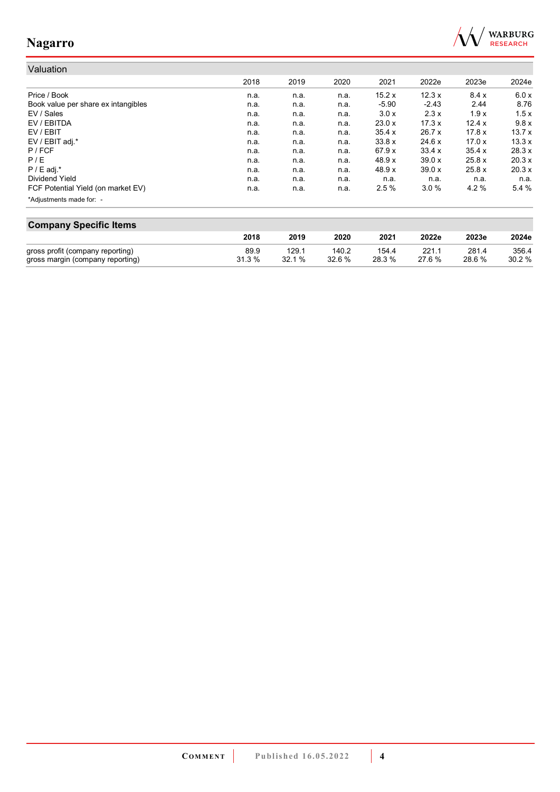

## Valuation

|                                     | 2018 | 2019 | 2020 | 2021    | 2022e   | 2023e  | 2024e  |
|-------------------------------------|------|------|------|---------|---------|--------|--------|
| Price / Book                        | n.a. | n.a. | n.a. | 15.2x   | 12.3x   | 8.4x   | 6.0 x  |
| Book value per share ex intangibles | n.a. | n.a. | n.a. | $-5.90$ | $-2.43$ | 2.44   | 8.76   |
| EV / Sales                          | n.a. | n.a. | n.a. | 3.0 x   | 2.3x    | 1.9x   | 1.5x   |
| EV / EBITDA                         | n.a. | n.a. | n.a. | 23.0x   | 17.3x   | 12.4x  | 9.8x   |
| EV / EBIT                           | n.a. | n.a. | n.a. | 35.4 x  | 26.7x   | 17.8x  | 13.7x  |
| EV / EBIT adj.*                     | n.a. | n.a. | n.a. | 33.8x   | 24.6 x  | 17.0x  | 13.3x  |
| $P$ / FCF                           | n.a. | n.a. | n.a. | 67.9x   | 33.4x   | 35.4x  | 28.3 x |
| P/E                                 | n.a. | n.a. | n.a. | 48.9 x  | 39.0x   | 25.8 x | 20.3 x |
| $P / E$ adj.*                       | n.a. | n.a. | n.a. | 48.9 x  | 39.0x   | 25.8x  | 20.3x  |
| Dividend Yield                      | n.a. | n.a. | n.a. | n.a.    | n.a.    | n.a.   | n.a.   |
| FCF Potential Yield (on market EV)  | n.a. | n.a. | n.a. | 2.5%    | 3.0%    | 4.2%   | 5.4%   |
| *Adjustments made for: -            |      |      |      |         |         |        |        |

| <b>Company Specific Items</b>    |        |       |        |        |       |        |       |  |  |  |  |  |
|----------------------------------|--------|-------|--------|--------|-------|--------|-------|--|--|--|--|--|
|                                  | 2018   | 2019  | 2020   | 2021   | 2022e | 2023e  | 2024e |  |  |  |  |  |
| gross profit (company reporting) | 89.9   | 129.1 | 140.2  | 154.4  | 221.1 | 281.4  | 356.4 |  |  |  |  |  |
| gross margin (company reporting) | 31.3 % | 32.1% | 32.6 % | 28.3 % | 276%  | 28.6 % | 30.2% |  |  |  |  |  |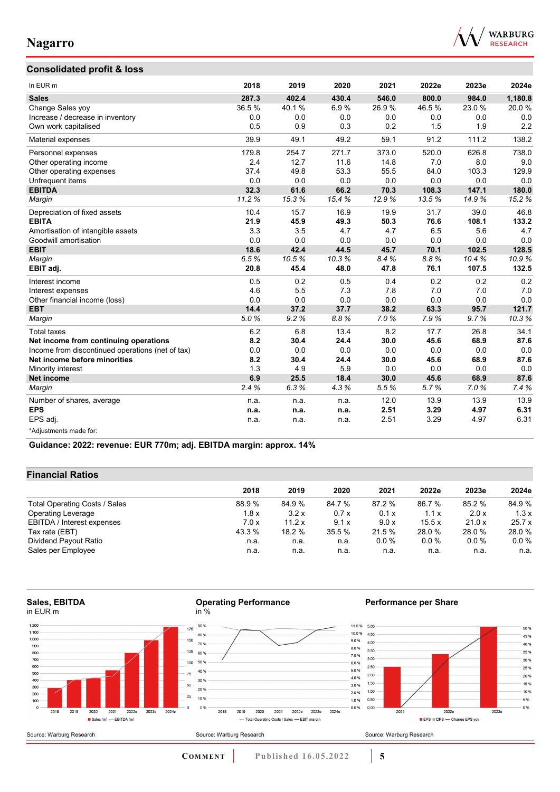



| In EUR <sub>m</sub>                              | 2018  | 2019  | 2020  | 2021  | 2022e | 2023e | 2024e   |
|--------------------------------------------------|-------|-------|-------|-------|-------|-------|---------|
| <b>Sales</b>                                     | 287.3 | 402.4 | 430.4 | 546.0 | 800.0 | 984.0 | 1,180.8 |
| Change Sales yoy                                 | 36.5% | 40.1% | 6.9%  | 26.9% | 46.5% | 23.0% | 20.0%   |
| Increase / decrease in inventory                 | 0.0   | 0.0   | 0.0   | 0.0   | 0.0   | 0.0   | 0.0     |
| Own work capitalised                             | 0.5   | 0.9   | 0.3   | 0.2   | 1.5   | 1.9   | 2.2     |
| Material expenses                                | 39.9  | 49.1  | 49.2  | 59.1  | 91.2  | 111.2 | 138.2   |
| Personnel expenses                               | 179.8 | 254.7 | 271.7 | 373.0 | 520.0 | 626.8 | 738.0   |
| Other operating income                           | 2.4   | 12.7  | 11.6  | 14.8  | 7.0   | 8.0   | 9.0     |
| Other operating expenses                         | 37.4  | 49.8  | 53.3  | 55.5  | 84.0  | 103.3 | 129.9   |
| Unfrequent items                                 | 0.0   | 0.0   | 0.0   | 0.0   | 0.0   | 0.0   | 0.0     |
| <b>EBITDA</b>                                    | 32.3  | 61.6  | 66.2  | 70.3  | 108.3 | 147.1 | 180.0   |
| Margin                                           | 11.2% | 153%  | 15.4% | 12.9% | 13.5% | 14.9% | 15.2%   |
| Depreciation of fixed assets                     | 10.4  | 15.7  | 16.9  | 19.9  | 31.7  | 39.0  | 46.8    |
| <b>EBITA</b>                                     | 21.9  | 45.9  | 49.3  | 50.3  | 76.6  | 108.1 | 133.2   |
| Amortisation of intangible assets                | 3.3   | 3.5   | 4.7   | 4.7   | 6.5   | 5.6   | 4.7     |
| Goodwill amortisation                            | 0.0   | 0.0   | 0.0   | 0.0   | 0.0   | 0.0   | 0.0     |
| <b>EBIT</b>                                      | 18.6  | 42.4  | 44.5  | 45.7  | 70.1  | 102.5 | 128.5   |
| Margin                                           | 6.5%  | 10.5% | 10.3% | 8.4%  | 8.8%  | 10.4% | 10.9%   |
| EBIT adj.                                        | 20.8  | 45.4  | 48.0  | 47.8  | 76.1  | 107.5 | 132.5   |
| Interest income                                  | 0.5   | 0.2   | 0.5   | 0.4   | 0.2   | 0.2   | 0.2     |
| Interest expenses                                | 4.6   | 5.5   | 7.3   | 7.8   | 7.0   | 7.0   | 7.0     |
| Other financial income (loss)                    | 0.0   | 0.0   | 0.0   | 0.0   | 0.0   | 0.0   | 0.0     |
| <b>EBT</b>                                       | 14.4  | 37.2  | 37.7  | 38.2  | 63.3  | 95.7  | 121.7   |
| Margin                                           | 5.0%  | 9.2%  | 8.8%  | 7.0%  | 7.9%  | 9.7%  | 10.3%   |
| <b>Total taxes</b>                               | 6.2   | 6.8   | 13.4  | 8.2   | 17.7  | 26.8  | 34.1    |
| Net income from continuing operations            | 8.2   | 30.4  | 24.4  | 30.0  | 45.6  | 68.9  | 87.6    |
| Income from discontinued operations (net of tax) | 0.0   | 0.0   | 0.0   | 0.0   | 0.0   | 0.0   | 0.0     |
| Net income before minorities                     | 8.2   | 30.4  | 24.4  | 30.0  | 45.6  | 68.9  | 87.6    |
| Minority interest                                | 1.3   | 4.9   | 5.9   | 0.0   | 0.0   | 0.0   | 0.0     |
| <b>Net income</b>                                | 6.9   | 25.5  | 18.4  | 30.0  | 45.6  | 68.9  | 87.6    |
| Margin                                           | 2.4%  | 6.3%  | 4.3%  | 5.5%  | 5.7%  | 7.0%  | 7.4%    |
| Number of shares, average                        | n.a.  | n.a.  | n.a.  | 12.0  | 13.9  | 13.9  | 13.9    |
| <b>EPS</b>                                       | n.a.  | n.a.  | n.a.  | 2.51  | 3.29  | 4.97  | 6.31    |
| EPS adj.                                         | n.a.  | n.a.  | n.a.  | 2.51  | 3.29  | 4.97  | 6.31    |
| *Adjustments made for:                           |       |       |       |       |       |       |         |

**Guidance: 2022: revenue: EUR 770m; adj. EBITDA margin: approx. 14%**

#### **Financial Ratios**

|                               | 2018   | 2019   | 2020   | 2021    | 2022e   | 2023e   | 2024e   |
|-------------------------------|--------|--------|--------|---------|---------|---------|---------|
| Total Operating Costs / Sales | 88.9%  | 84.9 % | 84.7 % | 87.2 %  | 86.7 %  | 85.2 %  | 84.9 %  |
| <b>Operating Leverage</b>     | 1.8x   | 3.2x   | 0.7x   | 0.1 x   | 1.1x    | 2.0x    | 1.3x    |
| EBITDA / Interest expenses    | 7.0x   | 11.2x  | 9.1x   | 9.0 x   | 15.5x   | 21.0 x  | 25.7x   |
| Tax rate (EBT)                | 43.3 % | 18.2 % | 35.5 % | 21.5%   | 28.0 %  | 28.0%   | 28.0%   |
| Dividend Payout Ratio         | n.a.   | n.a.   | n.a.   | $0.0\%$ | $0.0\%$ | $0.0\%$ | $0.0\%$ |
| Sales per Employee            | n.a.   | n.a.   | n.a.   | n.a.    | n.a.    | n.a.    | n.a.    |

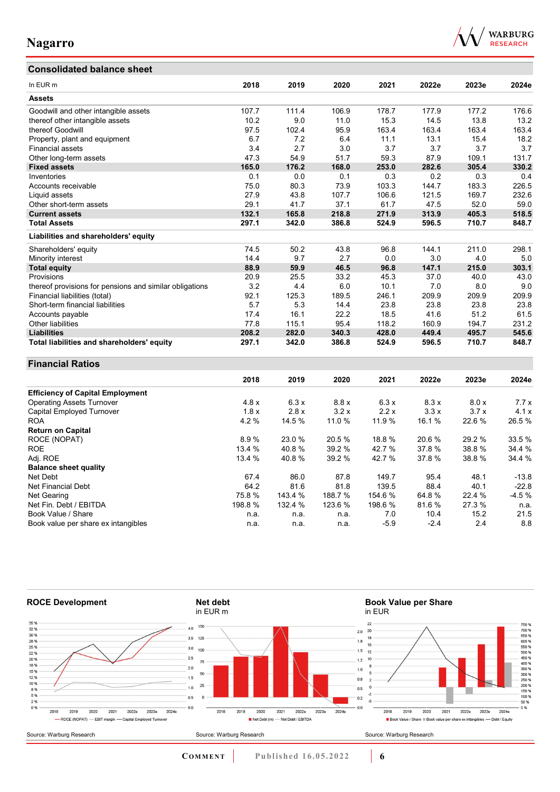### **Consolidated balance sheet**

Book value per share ex intangibles



| In EUR m                                                | 2018   | 2019    | 2020    | 2021    | 2022e  | 2023e  | 2024e   |
|---------------------------------------------------------|--------|---------|---------|---------|--------|--------|---------|
| <b>Assets</b>                                           |        |         |         |         |        |        |         |
| Goodwill and other intangible assets                    | 107.7  | 111.4   | 106.9   | 178.7   | 177.9  | 177.2  | 176.6   |
| thereof other intangible assets                         | 10.2   | 9.0     | 11.0    | 15.3    | 14.5   | 13.8   | 13.2    |
| thereof Goodwill                                        | 97.5   | 102.4   | 95.9    | 163.4   | 163.4  | 163.4  | 163.4   |
| Property, plant and equipment                           | 6.7    | 7.2     | 6.4     | 11.1    | 13.1   | 15.4   | 18.2    |
| Financial assets                                        | 3.4    | 2.7     | 3.0     | 3.7     | 3.7    | 3.7    | 3.7     |
| Other long-term assets                                  | 47.3   | 54.9    | 51.7    | 59.3    | 87.9   | 109.1  | 131.7   |
| <b>Fixed assets</b>                                     | 165.0  | 176.2   | 168.0   | 253.0   | 282.6  | 305.4  | 330.2   |
| Inventories                                             | 0.1    | 0.0     | 0.1     | 0.3     | 0.2    | 0.3    | 0.4     |
| Accounts receivable                                     | 75.0   | 80.3    | 73.9    | 103.3   | 144.7  | 183.3  | 226.5   |
| Liquid assets                                           | 27.9   | 43.8    | 107.7   | 106.6   | 121.5  | 169.7  | 232.6   |
| Other short-term assets                                 | 29.1   | 41.7    | 37.1    | 61.7    | 47.5   | 52.0   | 59.0    |
| <b>Current assets</b>                                   | 132.1  | 165.8   | 218.8   | 271.9   | 313.9  | 405.3  | 518.5   |
| <b>Total Assets</b>                                     | 297.1  | 342.0   | 386.8   | 524.9   | 596.5  | 710.7  | 848.7   |
| Liabilities and shareholders' equity                    |        |         |         |         |        |        |         |
| Shareholders' equity                                    | 74.5   | 50.2    | 43.8    | 96.8    | 144.1  | 211.0  | 298.1   |
| Minority interest                                       | 14.4   | 9.7     | 2.7     | 0.0     | 3.0    | 4.0    | 5.0     |
| <b>Total equity</b>                                     | 88.9   | 59.9    | 46.5    | 96.8    | 147.1  | 215.0  | 303.1   |
| Provisions                                              | 20.9   | 25.5    | 33.2    | 45.3    | 37.0   | 40.0   | 43.0    |
| thereof provisions for pensions and similar obligations | 3.2    | 4.4     | 6.0     | 10.1    | 7.0    | 8.0    | 9.0     |
| Financial liabilities (total)                           | 92.1   | 125.3   | 189.5   | 246.1   | 209.9  | 209.9  | 209.9   |
| Short-term financial liabilities                        | 5.7    | 5.3     | 14.4    | 23.8    | 23.8   | 23.8   | 23.8    |
| Accounts payable                                        | 17.4   | 16.1    | 22.2    | 18.5    | 41.6   | 51.2   | 61.5    |
| Other liabilities                                       | 77.8   | 115.1   | 95.4    | 118.2   | 160.9  | 194.7  | 231.2   |
| <b>Liabilities</b>                                      | 208.2  | 282.0   | 340.3   | 428.0   | 449.4  | 495.7  | 545.6   |
| Total liabilities and shareholders' equity              | 297.1  | 342.0   | 386.8   | 524.9   | 596.5  | 710.7  | 848.7   |
| <b>Financial Ratios</b>                                 |        |         |         |         |        |        |         |
|                                                         | 2018   | 2019    | 2020    | 2021    | 2022e  | 2023e  | 2024e   |
| <b>Efficiency of Capital Employment</b>                 |        |         |         |         |        |        |         |
| <b>Operating Assets Turnover</b>                        | 4.8x   | 6.3x    | 8.8x    | 6.3x    | 8.3 x  | 8.0x   | 7.7x    |
| Capital Employed Turnover                               | 1.8x   | 2.8x    | 3.2x    | 2.2x    | 3.3x   | 3.7x   | 4.1x    |
| <b>ROA</b>                                              | 4.2%   | 14.5 %  | 11.0 %  | 11.9 %  | 16.1%  | 22.6%  | 26.5%   |
| <b>Return on Capital</b>                                |        |         |         |         |        |        |         |
| ROCE (NOPAT)                                            | 8.9%   | 23.0 %  | 20.5 %  | 18.8%   | 20.6 % | 29.2 % | 33.5 %  |
| <b>ROE</b>                                              | 13.4 % | 40.8%   | 39.2 %  | 42.7%   | 37.8%  | 38.8%  | 34.4 %  |
| Adj. ROE                                                | 13.4 % | 40.8%   | 39.2 %  | 42.7 %  | 37.8%  | 38.8%  | 34.4 %  |
| <b>Balance sheet quality</b>                            |        |         |         |         |        |        |         |
| Net Debt                                                | 67.4   | 86.0    | 87.8    | 149.7   | 95.4   | 48.1   | $-13.8$ |
| <b>Net Financial Debt</b>                               | 64.2   | 81.6    | 81.8    | 139.5   | 88.4   | 40.1   | $-22.8$ |
| Net Gearing                                             | 75.8%  | 143.4 % | 188.7 % | 154.6 % | 64.8%  | 22.4 % | $-4.5%$ |
| Net Fin. Debt / EBITDA                                  | 198.8% | 132.4 % | 123.6 % | 198.6 % | 81.6%  | 27.3%  | n.a.    |
| Book Value / Share                                      | n.a.   | n.a.    | n.a.    | 7.0     | 10.4   | 15.2   | 21.5    |



Book Value / Share n.a. n.a. n.a. 7.0 10.4 15.2 21.5

**COMMENT** Published 16.05.2022 **6**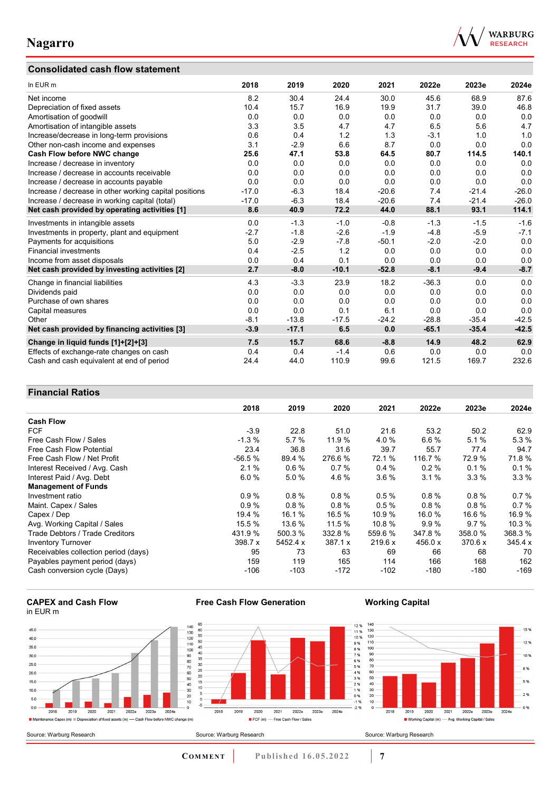### **Consolidated cash flow statement**



| In EUR m                                               | 2018    | 2019    | 2020    | 2021    | 2022e   | 2023e   | 2024e   |
|--------------------------------------------------------|---------|---------|---------|---------|---------|---------|---------|
| Net income                                             | 8.2     | 30.4    | 24.4    | 30.0    | 45.6    | 68.9    | 87.6    |
| Depreciation of fixed assets                           | 10.4    | 15.7    | 16.9    | 19.9    | 31.7    | 39.0    | 46.8    |
| Amortisation of goodwill                               | 0.0     | 0.0     | 0.0     | 0.0     | 0.0     | 0.0     | 0.0     |
| Amortisation of intangible assets                      | 3.3     | 3.5     | 4.7     | 4.7     | 6.5     | 5.6     | 4.7     |
| Increase/decrease in long-term provisions              | 0.6     | 0.4     | 1.2     | 1.3     | $-3.1$  | 1.0     | 1.0     |
| Other non-cash income and expenses                     | 3.1     | $-2.9$  | 6.6     | 8.7     | 0.0     | 0.0     | 0.0     |
| Cash Flow before NWC change                            | 25.6    | 47.1    | 53.8    | 64.5    | 80.7    | 114.5   | 140.1   |
| Increase / decrease in inventory                       | 0.0     | 0.0     | 0.0     | 0.0     | 0.0     | 0.0     | 0.0     |
| Increase / decrease in accounts receivable             | 0.0     | 0.0     | 0.0     | 0.0     | 0.0     | 0.0     | 0.0     |
| Increase / decrease in accounts payable                | 0.0     | 0.0     | 0.0     | 0.0     | 0.0     | 0.0     | 0.0     |
| Increase / decrease in other working capital positions | $-17.0$ | $-6.3$  | 18.4    | $-20.6$ | 7.4     | $-21.4$ | $-26.0$ |
| Increase / decrease in working capital (total)         | $-17.0$ | $-6.3$  | 18.4    | $-20.6$ | 7.4     | $-21.4$ | $-26.0$ |
| Net cash provided by operating activities [1]          | 8.6     | 40.9    | 72.2    | 44.0    | 88.1    | 93.1    | 114.1   |
| Investments in intangible assets                       | 0.0     | $-1.3$  | $-1.0$  | $-0.8$  | $-1.3$  | $-1.5$  | $-1.6$  |
| Investments in property, plant and equipment           | $-2.7$  | $-1.8$  | $-2.6$  | $-1.9$  | $-4.8$  | $-5.9$  | $-7.1$  |
| Payments for acquisitions                              | 5.0     | $-2.9$  | $-7.8$  | $-50.1$ | $-2.0$  | $-2.0$  | 0.0     |
| <b>Financial investments</b>                           | 0.4     | $-2.5$  | 1.2     | 0.0     | 0.0     | 0.0     | 0.0     |
| Income from asset disposals                            | 0.0     | 0.4     | 0.1     | 0.0     | 0.0     | 0.0     | 0.0     |
| Net cash provided by investing activities [2]          | 2.7     | $-8.0$  | $-10.1$ | $-52.8$ | $-8.1$  | $-9.4$  | $-8.7$  |
| Change in financial liabilities                        | 4.3     | $-3.3$  | 23.9    | 18.2    | $-36.3$ | 0.0     | 0.0     |
| Dividends paid                                         | 0.0     | 0.0     | 0.0     | 0.0     | 0.0     | 0.0     | 0.0     |
| Purchase of own shares                                 | 0.0     | 0.0     | 0.0     | 0.0     | 0.0     | 0.0     | 0.0     |
| Capital measures                                       | 0.0     | 0.0     | 0.1     | 6.1     | 0.0     | 0.0     | 0.0     |
| Other                                                  | $-8.1$  | $-13.8$ | $-17.5$ | $-24.2$ | $-28.8$ | $-35.4$ | $-42.5$ |
| Net cash provided by financing activities [3]          | $-3.9$  | $-17.1$ | 6.5     | 0.0     | $-65.1$ | $-35.4$ | $-42.5$ |
| Change in liquid funds [1]+[2]+[3]                     | 7.5     | 15.7    | 68.6    | $-8.8$  | 14.9    | 48.2    | 62.9    |
| Effects of exchange-rate changes on cash               | 0.4     | 0.4     | $-1.4$  | 0.6     | 0.0     | 0.0     | 0.0     |
| Cash and cash equivalent at end of period              | 24.4    | 44.0    | 110.9   | 99.6    | 121.5   | 169.7   | 232.6   |

### **Financial Ratios**

| נ ווועווטועו ולענוט                  |           |          |          |         |         |         |         |
|--------------------------------------|-----------|----------|----------|---------|---------|---------|---------|
|                                      | 2018      | 2019     | 2020     | 2021    | 2022e   | 2023e   | 2024e   |
| <b>Cash Flow</b>                     |           |          |          |         |         |         |         |
| <b>FCF</b>                           | $-3.9$    | 22.8     | 51.0     | 21.6    | 53.2    | 50.2    | 62.9    |
| Free Cash Flow / Sales               | $-1.3%$   | 5.7%     | 11.9 %   | 4.0%    | 6.6%    | 5.1%    | 5.3%    |
| <b>Free Cash Flow Potential</b>      | 23.4      | 36.8     | 31.6     | 39.7    | 55.7    | 77.4    | 94.7    |
| Free Cash Flow / Net Profit          | $-56.5%$  | 89.4 %   | 276.6 %  | 72.1 %  | 116.7 % | 72.9%   | 71.8%   |
| Interest Received / Avg. Cash        | 2.1%      | 0.6%     | 0.7%     | 0.4%    | 0.2%    | 0.1%    | 0.1%    |
| Interest Paid / Avg. Debt            | 6.0%      | 5.0%     | 4.6%     | 3.6%    | 3.1%    | 3.3%    | 3.3%    |
| <b>Management of Funds</b>           |           |          |          |         |         |         |         |
| Investment ratio                     | 0.9%      | 0.8%     | $0.8 \%$ | 0.5%    | 0.8%    | 0.8%    | 0.7%    |
| Maint. Capex / Sales                 | 0.9%      | 0.8%     | 0.8%     | 0.5%    | 0.8%    | 0.8%    | 0.7%    |
| Capex / Dep                          | 19.4 %    | 16.1 %   | 16.5 %   | 10.9 %  | 16.0 %  | 16.6 %  | 16.9%   |
| Avg. Working Capital / Sales         | 15.5 %    | 13.6 %   | 11.5 %   | 10.8 %  | 9.9%    | 9.7%    | 10.3 %  |
| Trade Debtors / Trade Creditors      | 431.9 %   | 500.3 %  | 332.8 %  | 559.6 % | 347.8%  | 358.0 % | 368.3 % |
| <b>Inventory Turnover</b>            | 398.7 $x$ | 5452.4 x | 387.1 x  | 219.6 x | 456.0 x | 370.6 x | 345.4 x |
| Receivables collection period (days) | 95        | 73       | 63       | 69      | 66      | 68      | 70      |
| Payables payment period (days)       | 159       | 119      | 165      | 114     | 166     | 168     | 162     |
| Cash conversion cycle (Days)         | $-106$    | $-103$   | $-172$   | $-102$  | $-180$  | $-180$  | $-169$  |

**Free Cash Flow Generation**

#### **CAPEX and Cash Flow** in EUR m



### **Working Capital**



**COMMENT Published 16.05.2022 7**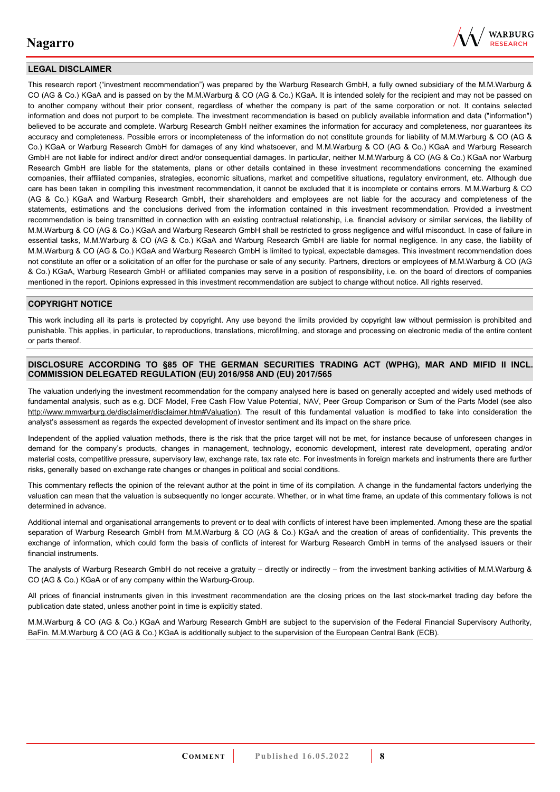

#### **LEGAL DISCLAIMER**

This research report ("investment recommendation") was prepared by the Warburg Research GmbH, a fully owned subsidiary of the M.M.Warburg & CO (AG & Co.) KGaA and is passed on by the M.M.Warburg & CO (AG & Co.) KGaA. It is intended solely for the recipient and may not be passed on to another company without their prior consent, regardless of whether the company is part of the same corporation or not. It contains selected information and does not purport to be complete. The investment recommendation is based on publicly available information and data ("information") believed to be accurate and complete. Warburg Research GmbH neither examines the information for accuracy and completeness, nor guarantees its accuracy and completeness. Possible errors or incompleteness of the information do not constitute grounds for liability of M.M.Warburg & CO (AG & Co.) KGaA or Warburg Research GmbH for damages of any kind whatsoever, and M.M.Warburg & CO (AG & Co.) KGaA and Warburg Research GmbH are not liable for indirect and/or direct and/or consequential damages. In particular, neither M.M.Warburg & CO (AG & Co.) KGaA nor Warburg Research GmbH are liable for the statements, plans or other details contained in these investment recommendations concerning the examined companies, their affiliated companies, strategies, economic situations, market and competitive situations, regulatory environment, etc. Although due care has been taken in compiling this investment recommendation, it cannot be excluded that it is incomplete or contains errors. M.M.Warburg & CO (AG & Co.) KGaA and Warburg Research GmbH, their shareholders and employees are not liable for the accuracy and completeness of the statements, estimations and the conclusions derived from the information contained in this investment recommendation. Provided a investment recommendation is being transmitted in connection with an existing contractual relationship, i.e. financial advisory or similar services, the liability of M.M.Warburg & CO (AG & Co.) KGaA and Warburg Research GmbH shall be restricted to gross negligence and wilful misconduct. In case of failure in essential tasks, M.M.Warburg & CO (AG & Co.) KGaA and Warburg Research GmbH are liable for normal negligence. In any case, the liability of M.M.Warburg & CO (AG & Co.) KGaA and Warburg Research GmbH is limited to typical, expectable damages. This investment recommendation does not constitute an offer or a solicitation of an offer for the purchase or sale of any security. Partners, directors or employees of M.M.Warburg & CO (AG & Co.) KGaA, Warburg Research GmbH or affiliated companies may serve in a position of responsibility, i.e. on the board of directors of companies mentioned in the report. Opinions expressed in this investment recommendation are subject to change without notice. All rights reserved.

#### **COPYRIGHT NOTICE**

This work including all its parts is protected by copyright. Any use beyond the limits provided by copyright law without permission is prohibited and punishable. This applies, in particular, to reproductions, translations, microfilming, and storage and processing on electronic media of the entire content or parts thereof.

#### **DISCLOSURE ACCORDING TO §85 OF THE GERMAN SECURITIES TRADING ACT (WPHG), MAR AND MIFID II INCL. COMMISSION DELEGATED REGULATION (EU) 2016/958 AND (EU) 2017/565**

The valuation underlying the investment recommendation for the company analysed here is based on generally accepted and widely used methods of fundamental analysis, such as e.g. DCF Model, Free Cash Flow Value Potential, NAV, Peer Group Comparison or Sum of the Parts Model (see also [http://www.mmwarburg.de/disclaimer/disclaimer.htm#Valuation\)](http://www.mmwarburg.de/disclaimer/disclaimer.htm#Valuation). The result of this fundamental valuation is modified to take into consideration the analyst's assessment as regards the expected development of investor sentiment and its impact on the share price.

Independent of the applied valuation methods, there is the risk that the price target will not be met, for instance because of unforeseen changes in demand for the company's products, changes in management, technology, economic development, interest rate development, operating and/or material costs, competitive pressure, supervisory law, exchange rate, tax rate etc. For investments in foreign markets and instruments there are further risks, generally based on exchange rate changes or changes in political and social conditions.

This commentary reflects the opinion of the relevant author at the point in time of its compilation. A change in the fundamental factors underlying the valuation can mean that the valuation is subsequently no longer accurate. Whether, or in what time frame, an update of this commentary follows is not determined in advance.

Additional internal and organisational arrangements to prevent or to deal with conflicts of interest have been implemented. Among these are the spatial separation of Warburg Research GmbH from M.M.Warburg & CO (AG & Co.) KGaA and the creation of areas of confidentiality. This prevents the exchange of information, which could form the basis of conflicts of interest for Warburg Research GmbH in terms of the analysed issuers or their financial instruments.

The analysts of Warburg Research GmbH do not receive a gratuity – directly or indirectly – from the investment banking activities of M.M.Warburg & CO (AG & Co.) KGaA or of any company within the Warburg-Group.

All prices of financial instruments given in this investment recommendation are the closing prices on the last stock-market trading day before the publication date stated, unless another point in time is explicitly stated.

M.M.Warburg & CO (AG & Co.) KGaA and Warburg Research GmbH are subject to the supervision of the Federal Financial Supervisory Authority, BaFin. M.M.Warburg & CO (AG & Co.) KGaA is additionally subject to the supervision of the European Central Bank (ECB).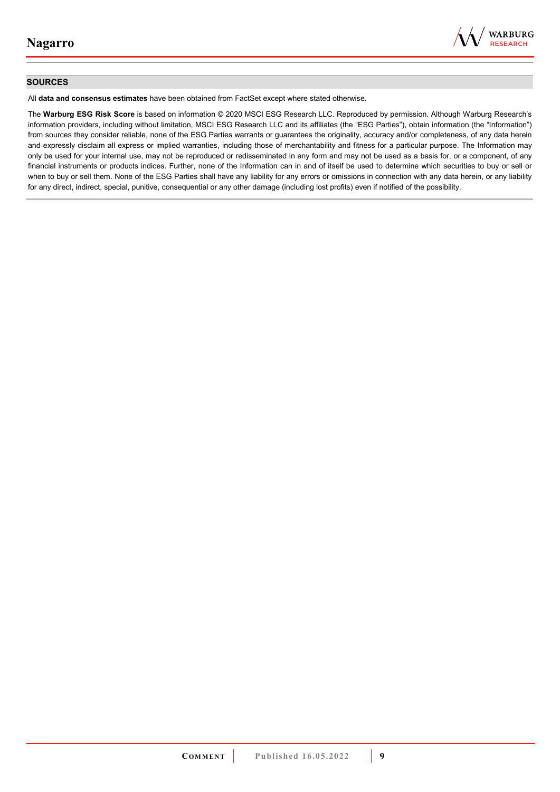

#### **SOURCES**

All **data and consensus estimates** have been obtained from FactSet except where stated otherwise.

The **Warburg ESG Risk Score** is based on information © 2020 MSCI ESG Research LLC. Reproduced by permission. Although Warburg Research's information providers, including without limitation, MSCI ESG Research LLC and its affiliates (the "ESG Parties"), obtain information (the "Information") from sources they consider reliable, none of the ESG Parties warrants or guarantees the originality, accuracy and/or completeness, of any data herein and expressly disclaim all express or implied warranties, including those of merchantability and fitness for a particular purpose. The Information may only be used for your internal use, may not be reproduced or redisseminated in any form and may not be used as a basis for, or a component, of any financial instruments or products indices. Further, none of the Information can in and of itself be used to determine which securities to buy or sell or when to buy or sell them. None of the ESG Parties shall have any liability for any errors or omissions in connection with any data herein, or any liability for any direct, indirect, special, punitive, consequential or any other damage (including lost profits) even if notified of the possibility.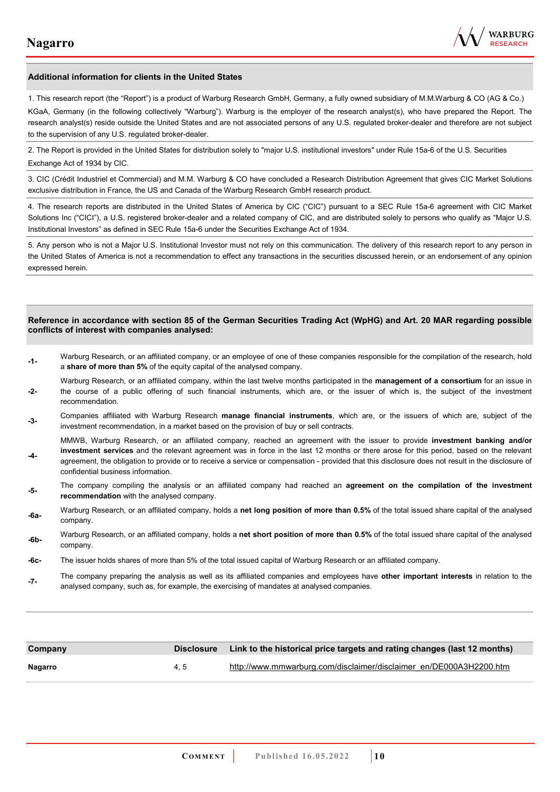

#### **Additional information for clients in the United States**

1. This research report (the "Report") is a product of Warburg Research GmbH, Germany, a fully owned subsidiary of M.M.Warburg & CO (AG & Co.)

KGaA, Germany (in the following collectively "Warburg"). Warburg is the employer of the research analyst(s), who have prepared the Report. The research analyst(s) reside outside the United States and are not associated persons of any U.S. regulated broker-dealer and therefore are not subject to the supervision of any U.S. regulated broker-dealer.

2. The Report is provided in the United States for distribution solely to "major U.S. institutional investors" under Rule 15a-6 of the U.S. Securities Exchange Act of 1934 by CIC.

3. CIC (Crédit Industriel et Commercial) and M.M. Warburg & CO have concluded a Research Distribution Agreement that gives CIC Market Solutions exclusive distribution in France, the US and Canada of the Warburg Research GmbH research product.

4. The research reports are distributed in the United States of America by CIC ("CIC") pursuant to a SEC Rule 15a-6 agreement with CIC Market Solutions Inc ("CICI"), a U.S. registered broker-dealer and a related company of CIC, and are distributed solely to persons who qualify as "Major U.S. Institutional Investors" as defined in SEC Rule 15a-6 under the Securities Exchange Act of 1934.

5. Any person who is not a Major U.S. Institutional Investor must not rely on this communication. The delivery of this research report to any person in the United States of America is not a recommendation to effect any transactions in the securities discussed herein, or an endorsement of any opinion expressed herein.

#### **Reference in accordance with section 85 of the German Securities Trading Act (WpHG) and Art. 20 MAR regarding possible conflicts of interest with companies analysed:**

- **-1-** Warburg Research, or an affiliated company, or an employee of one of these companies responsible for the compilation of the research, hold a **share of more than 5%** of the equity capital of the analysed company.
- **-2-**  Warburg Research, or an affiliated company, within the last twelve months participated in the **management of a consortium** for an issue in the course of a public offering of such financial instruments, which are, or the issuer of which is, the subject of the investment recommendation.
- **-3-** Companies affiliated with Warburg Research **manage financial instruments**, which are, or the issuers of which are, subject of the investment recommendation, in a market based on the provision of buy or sell contracts.

MMWB, Warburg Research, or an affiliated company, reached an agreement with the issuer to provide **investment banking and/or investment services** and the relevant agreement was in force in the last 12 months or there arose for this period, based on the relevant

- **-4**  agreement, the obligation to provide or to receive a service or compensation - provided that this disclosure does not result in the disclosure of confidential business information.
- **-5-** The company compiling the analysis or an affiliated company had reached an **agreement on the compilation of the investment recommendation** with the analysed company.
- **-6a-** Warburg Research, or an affiliated company, holds a **net long position of more than 0.5%** of the total issued share capital of the analysed company.
- **-6b-** Warburg Research, or an affiliated company, holds a **net short position of more than 0.5%** of the total issued share capital of the analysed company.
- **-6c-** The issuer holds shares of more than 5% of the total issued capital of Warburg Research or an affiliated company.
- **-7-** The company preparing the analysis as well as its affiliated companies and employees have **other important interests** in relation to the analysed company, such as, for example, the exercising of mandates at analysed companies.

| Company | <b>Disclosure</b> | Link to the historical price targets and rating changes (last 12 months) |
|---------|-------------------|--------------------------------------------------------------------------|
| Nagarro | 4.5               | http://www.mmwarburg.com/disclaimer/disclaimer_en/DE000A3H2200.htm       |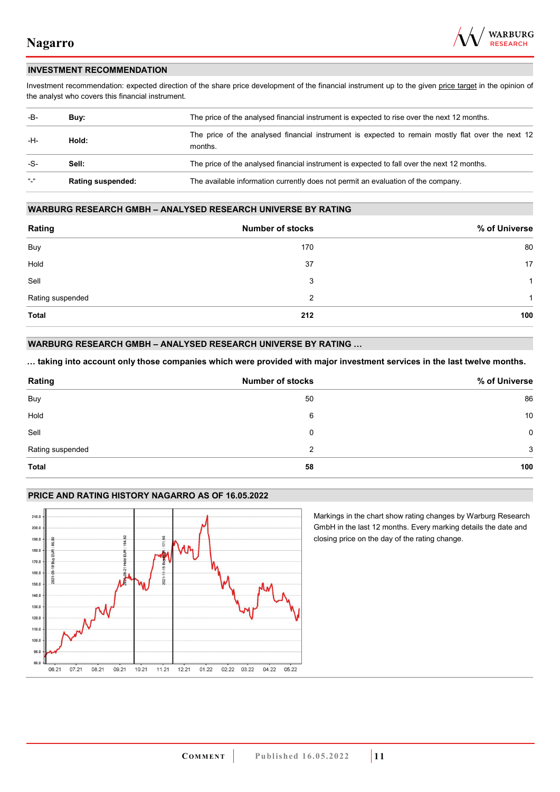

#### **INVESTMENT RECOMMENDATION**

Investment recommendation: expected direction of the share price development of the financial instrument up to the given price target in the opinion of the analyst who covers this financial instrument.

| -B-             | Buy:                     | The price of the analysed financial instrument is expected to rise over the next 12 months.                  |
|-----------------|--------------------------|--------------------------------------------------------------------------------------------------------------|
| -H-             | Hold:                    | The price of the analysed financial instrument is expected to remain mostly flat over the next 12<br>months. |
| -S-             | Sell:                    | The price of the analysed financial instrument is expected to fall over the next 12 months.                  |
| $\frac{16}{16}$ | <b>Rating suspended:</b> | The available information currently does not permit an evaluation of the company.                            |

#### **WARBURG RESEARCH GMBH – ANALYSED RESEARCH UNIVERSE BY RATING**

| Rating           | <b>Number of stocks</b> | % of Universe |
|------------------|-------------------------|---------------|
| Buy              | 170                     | 80            |
| Hold             | 37                      | 17            |
| Sell             | 3                       | -1            |
| Rating suspended | 2                       | 1             |
| <b>Total</b>     | 212                     | 100           |

#### **WARBURG RESEARCH GMBH – ANALYSED RESEARCH UNIVERSE BY RATING …**

**… taking into account only those companies which were provided with major investment services in the last twelve months.** 

| Rating           | <b>Number of stocks</b> | % of Universe |
|------------------|-------------------------|---------------|
| Buy              | 50                      | 86            |
| Hold             | 6                       | 10            |
| Sell             | 0                       | $\mathbf 0$   |
| Rating suspended | 2                       | 3             |
| Total            | 58                      | 100           |

#### **PRICE AND RATING HISTORY NAGARRO AS OF 16.05.2022**



Markings in the chart show rating changes by Warburg Research GmbH in the last 12 months. Every marking details the date and closing price on the day of the rating change.